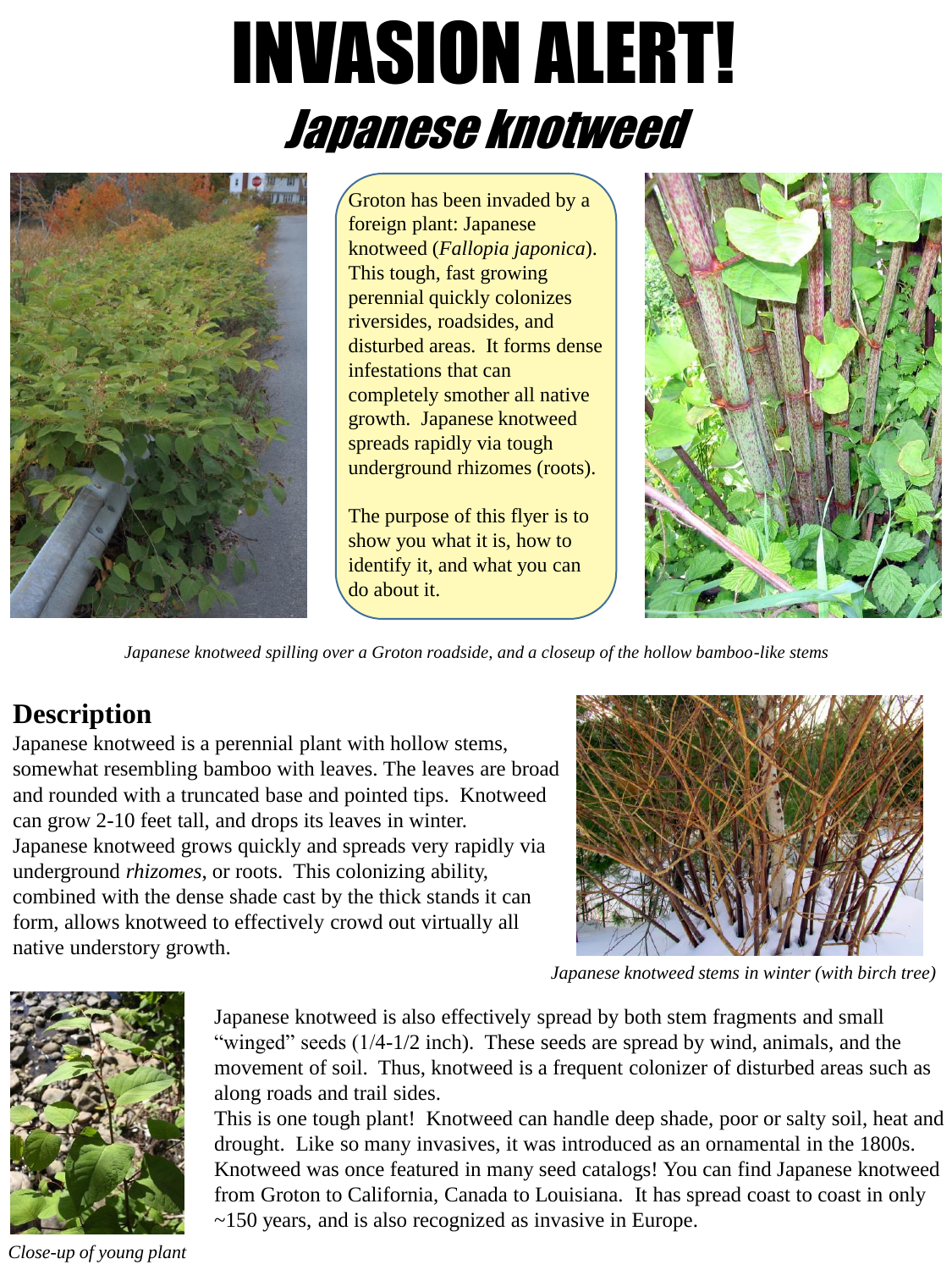# INVASION ALERT! Japanese knotweed



Groton has been invaded by a foreign plant: Japanese knotweed (*Fallopia japonica*). This tough, fast growing perennial quickly colonizes riversides, roadsides, and disturbed areas. It forms dense infestations that can completely smother all native growth. Japanese knotweed spreads rapidly via tough underground rhizomes (roots).

The purpose of this flyer is to show you what it is, how to identify it, and what you can do about it.



*Japanese knotweed spilling over a Groton roadside, and a closeup of the hollow bamboo-like stems*

### **Description**

Japanese knotweed is a perennial plant with hollow stems, somewhat resembling bamboo with leaves. The leaves are broad and rounded with a truncated base and pointed tips. Knotweed can grow 2-10 feet tall, and drops its leaves in winter. Japanese knotweed grows quickly and spreads very rapidly via underground *rhizomes*, or roots. This colonizing ability, combined with the dense shade cast by the thick stands it can form, allows knotweed to effectively crowd out virtually all native understory growth.



*Japanese knotweed stems in winter (with birch tree)*



*Close-up of young plant*

Japanese knotweed is also effectively spread by both stem fragments and small "winged" seeds (1/4-1/2 inch). These seeds are spread by wind, animals, and the movement of soil. Thus, knotweed is a frequent colonizer of disturbed areas such as along roads and trail sides.

This is one tough plant! Knotweed can handle deep shade, poor or salty soil, heat and drought. Like so many invasives, it was introduced as an ornamental in the 1800s. Knotweed was once featured in many seed catalogs! You can find Japanese knotweed from Groton to California, Canada to Louisiana. It has spread coast to coast in only ~150 years, and is also recognized as invasive in Europe.